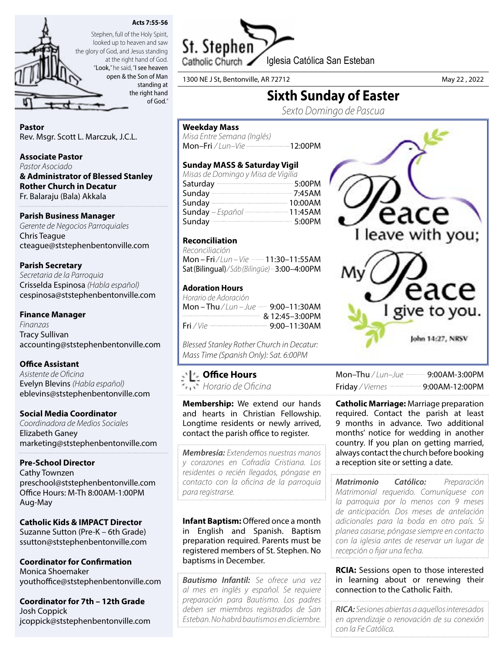



looked up to heaven and saw the glory of God, and Jesus standing at the right hand of God. "Look," he said, "I see heaven open & the Son of Man

standing at the right hand of God."

# Pastor

Rev. Msgr. Scott L. Marczuk, J.C.L.

### Associate Pastor

*Pastor Asociado* & Administrator of Blessed Stanley Rother Church in Decatur Fr. Balaraju (Bala) Akkala

## Parish Business Manager

*Gerente de Negocios Parroquiales* Chris Teague cteague@ststephenbentonville.com

## Parish Secretary

*Secretaria de la Parroquia* Crisselda Espinosa *(Habla español)* cespinosa@ststephenbentonville.com

## Finance Manager

*Finanzas* Tracy Sullivan accounting@ststephenbentonville.com

#### Office Assistant

*Asistente de Oficina* Evelyn Blevins *(Habla español)* eblevins@ststephenbentonville.com

#### Social Media Coordinator

*Coordinadora de Medios Sociales* Elizabeth Ganey marketing@ststephenbentonville.com

#### Pre-School Director

Cathy Townzen preschool@ststephenbentonville.com Office Hours: M-Th 8:00AM-1:00PM Aug-May

#### Catholic Kids & IMPACT Director Suzanne Sutton (Pre-K – 6th Grade)

ssutton@ststephenbentonville.com

Coordinator for Confirmation Monica Shoemaker youthoffice@ststephenbentonville.com

Coordinator for 7th – 12th Grade Josh Coppick jcoppick@ststephenbentonville.com



1300 NE J St, Bentonville, AR 72712 May 22 , 2022

# Sixth Sunday of Easter

*Sexto Domingo de Pascua*

### Weekday Mass

*Misa Entre Semana (Inglés)* Mon-Fri / Lun-Vie ---------------------------12:00PM

## Sunday MASS & Saturday Vigil

| Misas de Domingo y Misa de Vigilia |  |
|------------------------------------|--|
| Saturday 200PM                     |  |
| Sunday 2:45AM                      |  |
|                                    |  |
| Sunday - Español  11:45AM          |  |
| Sunday 3:00PM                      |  |

## Reconciliation

*Reconciliación*  Mon – Fri / Lun – Vie **- - - 11:30–11:55AM** Sat (Bilingual)*/ Sáb (Bilingüe)* 3:00–4:00PM

## Adoration Hours

| Horario de Adoración                                      |  |
|-----------------------------------------------------------|--|
| Mon – Thu / Lun – Jue …… 9:00–11:30AM                     |  |
| $& 12:45-3:00 \text{PM}$                                  |  |
| Fri / Vie ---------------------------------- 9:00-11:30AM |  |

*Blessed Stanley Rother Church in Decatur: Mass Time (Spanish Only): Sat. 6:00PM*

## Office Hours

*Horario de Oficina*

Membership: We extend our hands and hearts in Christian Fellowship. Longtime residents or newly arrived, contact the parish office to register.

*Membresía: Extendemos nuestras manos y corazones en Cofradía Cristiana. Los residentes o recién llegados, póngase en contacto con la oficina de la parroquia para registrarse.*

Infant Baptism: Offered once a month in English and Spanish. Baptism preparation required. Parents must be registered members of St. Stephen. No baptisms in December.

*Bautismo Infantil: Se ofrece una vez al mes en inglés y español. Se requiere preparación para Bautismo. Los padres deben ser miembros registrados de San Esteban. No habrá bautismos en diciembre.*



| Mon-Thu / Lun-Jue ---------- 9:00AM-3:00PM        |
|---------------------------------------------------|
| Friday / Viernes ----------------- 9:00AM-12:00PM |

**Catholic Marriage: Marriage preparation** required. Contact the parish at least 9 months in advance. Two additional months' notice for wedding in another country. If you plan on getting married, always contact the church before booking a reception site or setting a date.

*Matrimonio Católico: Preparación Matrimonial requerido. Comuníquese con la parroquia por lo menos con 9 meses de anticipación. Dos meses de antelación adicionales para la boda en otro país. Si planea casarse, póngase siempre en contacto con la iglesia antes de reservar un lugar de recepción o fijar una fecha.*

**RCIA:** Sessions open to those interested in learning about or renewing their connection to the Catholic Faith.

*RICA: Sesiones abiertas a aquellos interesados en aprendizaje o renovación de su conexión con la Fe Católica.*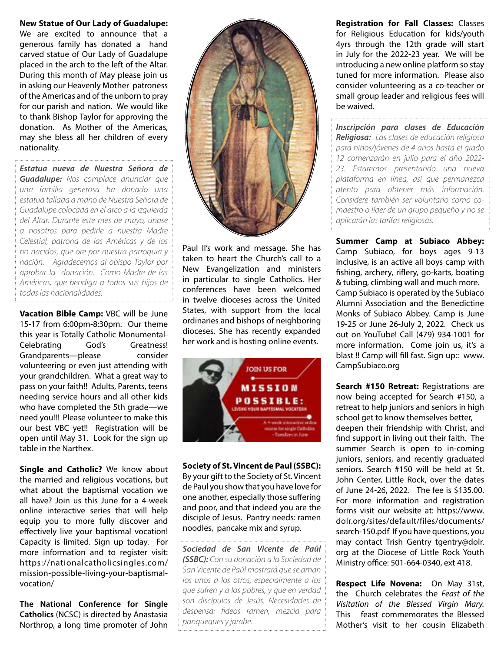#### New Statue of Our Lady of Guadalupe:

We are excited to announce that a generous family has donated a hand carved statue of Our Lady of Guadalupe placed in the arch to the left of the Altar. During this month of May please join us in asking our Heavenly Mother patroness of the Americas and of the unborn to pray for our parish and nation. We would like to thank Bishop Taylor for approving the donation. As Mother of the Americas, may she bless all her children of every nationality.

*Estatua nueva de Nuestra Señora de Guadalupe: Nos complace anunciar que una familia generosa ha donado una estatua tallada a mano de Nuestra Señora de Guadalupe colocada en el arco a la izquierda del Altar. Durante este mes de mayo, únase a nosotros para pedirle a nuestra Madre Celestial, patrona de las Américas y de los no nacidos, que ore por nuestra parroquia y nación. Agradecemos al obispo Taylor por aprobar la donación. Como Madre de las Américas, que bendiga a todos sus hijos de todas las nacionalidades.*

Vacation Bible Camp: VBC will be June 15-17 from 6:00pm-8:30pm. Our theme this year is Totally Catholic Monumental-Celebrating God's Greatness! Grandparents—please consider volunteering or even just attending with your grandchildren. What a great way to pass on your faith!! Adults, Parents, teens needing service hours and all other kids who have completed the 5th grade—we need you!!! Please volunteer to make this our best VBC yet!! Registration will be open until May 31. Look for the sign up table in the Narthex.

Single and Catholic? We know about the married and religious vocations, but what about the baptismal vocation we all have? Join us this June for a 4-week online interactive series that will help equip you to more fully discover and effectively live your baptismal vocation! Capacity is limited. Sign up today. For more information and to register visit: https://nationalcatholicsingles.com/ mission-possible-living-your-baptismalvocation/

The National Conference for Single Catholics (NCSC) is directed by Anastasia Northrop, a long time promoter of John



Paul II's work and message. She has taken to heart the Church's call to a New Evangelization and ministers in particular to single Catholics. Her conferences have been welcomed in twelve dioceses across the United States, with support from the local ordinaries and bishops of neighboring dioceses. She has recently expanded her work and is hosting online events.



Society of St. Vincent de Paul (SSBC): By your gift to the Society of St. Vincent de Paul you show that you have love for one another, especially those suffering and poor, and that indeed you are the disciple of Jesus. Pantry needs: ramen noodles, pancake mix and syrup.

*Sociedad de San Vicente de Paúl (SSBC): Con su donación a la Sociedad de San Vicente de Paúl mostrará que se aman los unos a los otros, especialmente a los que sufren y a los pobres, y que en verdad son discípulos de Jesús. Necesidades de despensa: fideos ramen, mezcla para panqueques y jarabe.*

Registration for Fall Classes: Classes for Religious Education for kids/youth 4yrs through the 12th grade will start in July for the 2022-23 year. We will be introducing a new online platform so stay tuned for more information. Please also consider volunteering as a co-teacher or small group leader and religious fees will be waived.

*Inscripción para clases de Educación Religiosa: Las clases de educación religiosa para niños/jóvenes de 4 años hasta el grado 12 comenzarán en julio para el año 2022- 23. Estaremos presentando una nueva plataforma en línea, así que permanezca atento para obtener más información. Considere también ser voluntario como comaestro o líder de un grupo pequeño y no se aplicarán las tarifas religiosas.*

Summer Camp at Subiaco Abbey: Camp Subiaco, for boys ages 9-13 inclusive, is an active all boys camp with fishing, archery, riflery, go-karts, boating & tubing, climbing wall and much more. Camp Subiaco is operated by the Subiaco Alumni Association and the Benedictine Monks of Subiaco Abbey. Camp is June 19-25 or June 26-July 2, 2022. Check us out on YouTube! Call (479) 934-1001 for more information. Come join us, it's a blast !! Camp will fill fast. Sign up:: www. CampSubiaco.org

Search #150 Retreat: Registrations are now being accepted for Search #150, a retreat to help juniors and seniors in high school get to know themselves better, deepen their friendship with Christ, and find support in living out their faith. The summer Search is open to in-coming juniors, seniors, and recently graduated seniors. Search #150 will be held at St. John Center, Little Rock, over the dates of June 24-26, 2022. The fee is \$135.00. For more information and registration forms visit our website at: https://www. dolr.org/sites/default/files/documents/ search-150.pdf If you have questions, you may contact Trish Gentry tgentry@dolr. org at the Diocese of Little Rock Youth Ministry office: 501-664-0340, ext 418.

Respect Life Novena: On May 31st, the Church celebrates the *Feast of the Visitation of the Blessed Virgin Mary.*  This feast commemorates the Blessed Mother's visit to her cousin Elizabeth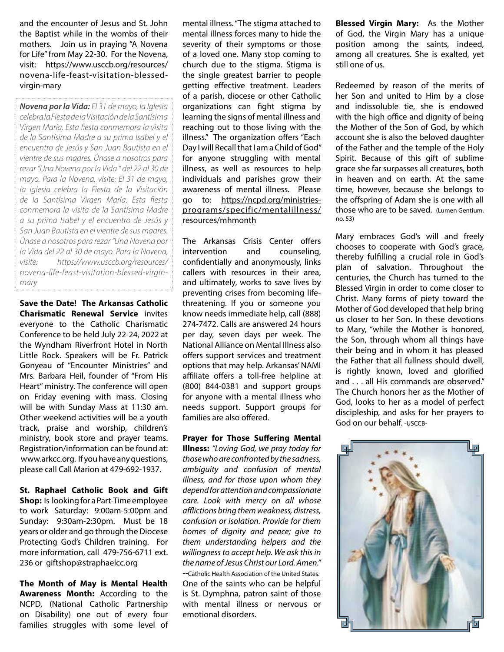and the encounter of Jesus and St. John the Baptist while in the wombs of their mothers. Join us in praying "A Novena for Life" from May 22-30. For the Novena, visit: https://www.usccb.org/resources/ novena-life-feast-visitation-blessedvirgin-mary

*Novena por la Vida: El 31 de mayo, la Iglesia celebra la Fiesta de la Visitación de la Santísima Virgen María. Esta fiesta conmemora la visita de la Santísima Madre a su prima Isabel y el encuentro de Jesús y San Juan Bautista en el vientre de sus madres. Únase a nosotros para rezar "Una Novena por la Vida " del 22 al 30 de mayo. Para la Novena, visite: El 31 de mayo, la Iglesia celebra la Fiesta de la Visitación de la Santísima Virgen María. Esta fiesta conmemora la visita de la Santísima Madre a su prima Isabel y el encuentro de Jesús y San Juan Bautista en el vientre de sus madres. Únase a nosotros para rezar "Una Novena por la Vida del 22 al 30 de mayo. Para la Novena, visite: https://www.usccb.org/resources/ novena-life-feast-visitation-blessed-virginmary*

Save the Date! The Arkansas Catholic Charismatic Renewal Service invites everyone to the Catholic Charismatic Conference to be held July 22-24, 2022 at the Wyndham Riverfront Hotel in North Little Rock. Speakers will be Fr. Patrick Gonyeau of "Encounter Ministries" and Mrs. Barbara Heil, founder of "From His Heart" ministry. The conference will open on Friday evening with mass. Closing will be with Sunday Mass at 11:30 am. Other weekend activities will be a youth track, praise and worship, children's ministry, book store and prayer teams. Registration/information can be found at: www.arkcc.org. If you have any questions, please call Call Marion at 479-692-1937.

St. Raphael Catholic Book and Gift **Shop:** Is looking for a Part-Time employee to work Saturday: 9:00am-5:00pm and Sunday: 9:30am-2:30pm. Must be 18 years or older and go through the Diocese Protecting God's Children training. For more information, call 479-756-6711 ext. 236 or giftshop@straphaelcc.org

The Month of May is Mental Health Awareness Month: According to the NCPD, (National Catholic Partnership on Disability) one out of every four families struggles with some level of mental illness. "The stigma attached to mental illness forces many to hide the severity of their symptoms or those of a loved one. Many stop coming to church due to the stigma. Stigma is the single greatest barrier to people getting effective treatment. Leaders of a parish, diocese or other Catholic organizations can fight stigma by learning the signs of mental illness and reaching out to those living with the illness." The organization offers "Each Day I will Recall that I am a Child of God" for anyone struggling with mental illness, as well as resources to help individuals and parishes grow their awareness of mental illness. Please go to: https://ncpd.org/ministriesprograms/specific/mentalillness/ resources/mhmonth

The Arkansas Crisis Center offers intervention and counseling, confidentially and anonymously, links callers with resources in their area, and ultimately, works to save lives by preventing crises from becoming lifethreatening. If you or someone you know needs immediate help, call (888) 274-7472. Calls are answered 24 hours per day, seven days per week. The National Alliance on Mental Illness also offers support services and treatment options that may help. Arkansas' NAMI affiliate offers a toll-free helpline at (800) 844-0381 and support groups for anyone with a mental illness who needs support. Support groups for families are also offered.

#### Prayer for Those Suffering Mental

Illness: *"Loving God, we pray today for those who are confronted by the sadness, ambiguity and confusion of mental illness, and for those upon whom they depend for attention and compassionate care. Look with mercy on all whose afflictions bring them weakness, distress, confusion or isolation. Provide for them homes of dignity and peace; give to them understanding helpers and the willingness to accept help. We ask this in the name of Jesus Christ our Lord. Amen."* --Catholic Health Association of the United States. One of the saints who can be helpful is St. Dymphna, patron saint of those with mental illness or nervous or emotional disorders.

Blessed Virgin Mary: As the Mother of God, the Virgin Mary has a unique position among the saints, indeed, among all creatures. She is exalted, yet still one of us.

Redeemed by reason of the merits of her Son and united to Him by a close and indissoluble tie, she is endowed with the high office and dignity of being the Mother of the Son of God, by which account she is also the beloved daughter of the Father and the temple of the Holy Spirit. Because of this gift of sublime grace she far surpasses all creatures, both in heaven and on earth. At the same time, however, because she belongs to the offspring of Adam she is one with all those who are to be saved. (Lumen Gentium, no. 53)

Mary embraces God's will and freely chooses to cooperate with God's grace, thereby fulfilling a crucial role in God's plan of salvation. Throughout the centuries, the Church has turned to the Blessed Virgin in order to come closer to Christ. Many forms of piety toward the Mother of God developed that help bring us closer to her Son. In these devotions to Mary, "while the Mother is honored, the Son, through whom all things have their being and in whom it has pleased the Father that all fullness should dwell, is rightly known, loved and glorified and . . . all His commands are observed." The Church honors her as the Mother of God, looks to her as a model of perfect discipleship, and asks for her prayers to God on our behalf. -USCCB-